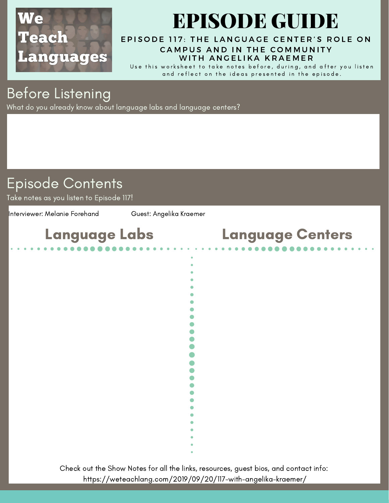

# EPISODE GUIDE

#### EPISODE 117: THE LANGUAGE CENTER'S ROLE ON CA[M](https://weteachlang.com/2019/09/20/117-with-angelika-kraemer/)PUS AND IN THE COMMUNITY WITH ANGELIKA KRAEMER

Use this worksheet to take notes before, during, and after you listen and reflect on the ideas presented in the episode.

### Before Listening

What do you already know about language labs and language centers?

### Episode Contents

Take notes as you listen to Episode 117!

Interviewer: Melanie Forehand Guest: Angelika Kraemer



Check out the Show Notes for all the links, resources, guest bios, and contact info: <https://weteachlang.com/2019/09/20/117-with-angelika-kraemer/>